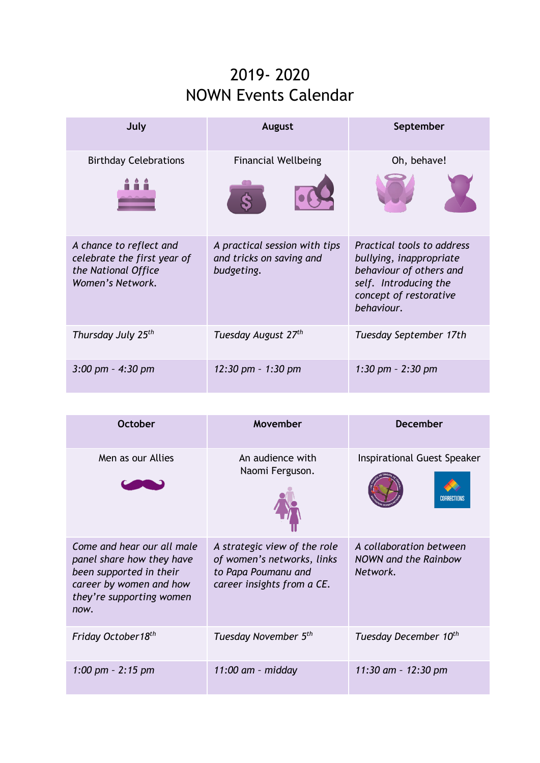## 2019- 2020 NOWN Events Calendar

| July                                                                                              | August                                                                  | September                                                                                                                                         |
|---------------------------------------------------------------------------------------------------|-------------------------------------------------------------------------|---------------------------------------------------------------------------------------------------------------------------------------------------|
| <b>Birthday Celebrations</b>                                                                      | <b>Financial Wellbeing</b>                                              | Oh, behave!                                                                                                                                       |
|                                                                                                   |                                                                         |                                                                                                                                                   |
| A chance to reflect and<br>celebrate the first year of<br>the National Office<br>Women's Network. | A practical session with tips<br>and tricks on saving and<br>budgeting. | Practical tools to address<br>bullying, inappropriate<br>behaviour of others and<br>self. Introducing the<br>concept of restorative<br>behaviour. |
| Thursday July 25 <sup>th</sup>                                                                    | Tuesday August 27 <sup>th</sup>                                         | Tuesday September 17th                                                                                                                            |
| $3:00 \text{ pm} - 4:30 \text{ pm}$                                                               | 12:30 pm - 1:30 pm                                                      | 1:30 pm $-$ 2:30 pm                                                                                                                               |

| October                                                                                                                                           | Movember                                                                                                        | <b>December</b>                                                    |
|---------------------------------------------------------------------------------------------------------------------------------------------------|-----------------------------------------------------------------------------------------------------------------|--------------------------------------------------------------------|
| Men as our Allies                                                                                                                                 | An audience with<br>Naomi Ferguson.                                                                             | <b>Inspirational Guest Speaker</b><br>ORRECTIONS                   |
| Come and hear our all male<br>panel share how they have<br>been supported in their<br>career by women and how<br>they're supporting women<br>now. | A strategic view of the role<br>of women's networks, links<br>to Papa Poumanu and<br>career insights from a CE. | A collaboration between<br><b>NOWN and the Rainbow</b><br>Network. |
| Friday October18 <sup>th</sup>                                                                                                                    | Tuesday November 5 <sup>th</sup>                                                                                | Tuesday December 10 <sup>th</sup>                                  |
| 1:00 pm - 2:15 pm                                                                                                                                 | $11:00$ am - midday                                                                                             | 11:30 am - 12:30 pm                                                |